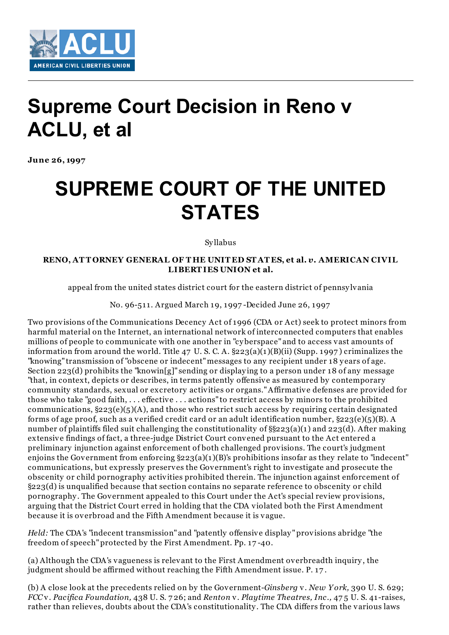

# Supreme Court Decision in Reno v ACLU, et al

June 26, 1997

### SUPREME COURT OF THE UNITED **STATES**

Sy llabus

RENO, ATT ORNEY GENERAL OF T HE UNIT ED ST AT ES, et al. *v.* AMERICAN CIVIL LIBERTIES UNION et al.

appeal from the united states district court for the eastern district of pennsy lvania

No. 96-51 1 . Argued March 19, 1997 -Decided June 26, 1997

Two provisions of the Communications Decency Act of 1996 (CDA or Act) seek to protect minors from harmful material on the Internet, an international network of interconnected computers that enables millions of people to communicate with one another in "cyberspace" and to access vast amounts of information from around the world. Title 47 U. S. C. A. §223(a)(1 )(B)(ii) (Supp. 1997 ) criminalizes the "knowing" transmission of "obscene or indecent"messages to any recipient under 18 y ears of age. Section 223(d) prohibits the "knowin[g]" sending or display ing to a person under 18 of any message "that, in context, depicts or describes, in terms patently offensive as measured by contemporary community standards, sexual or excretory activities or organs."Affirmative defenses are provided for those who take "good faith, . . . effective . . . actions" to restrict access by minors to the prohibited communications, §223(e)(5)(A), and those who restrict such access by requiring certain designated forms of age proof, such as a verified credit card or an adult identification number, §223(e)(5)(B). A number of plaintiffs filed suit challenging the constitutionality of §§223(a)(1 ) and 223(d). After making extensive findings of fact, a three-judge District Court convened pursuant to the Act entered a preliminary injunction against enforcement of both challenged provisions. The court's judgment enjoins the Government from enforcing §223(a)(1 )(B)'s prohibitions insofar as they relate to "indecent" communications, but expressly preserves the Government's right to investigate and prosecute the obscenity or child pornography activities prohibited therein. The injunction against enforcement of §223(d) is unqualified because that section contains no separate reference to obscenity or child pornography . The Government appealed to this Court under the Act's special review provisions, arguing that the District Court erred in holding that the CDA violated both the First Amendment because it is overbroad and the Fifth Amendment because it is vague.

*Held:* The CDA's "indecent transmission" and "patently offensive display "provisions abridge "the freedom of speech"protected by the First Amendment. Pp. 17 -40.

(a) Although the CDA's vagueness is relevant to the First Amendment overbreadth inquiry , the judgment should be affirmed without reaching the Fifth Amendment issue. P. 17 .

(b) A close look at the precedents relied on by the Government-*Ginsberg* v. *New Y ork,* 390 U. S. 629; *FCC* v. *Pacifica Foundation,* 438 U. S. 7 26; and *Renton* v. *Playtime Theatres, Inc.,* 47 5 U. S. 41 -raises, rather than relieves, doubts about the CDA's constitutionality . The CDA differs from the various laws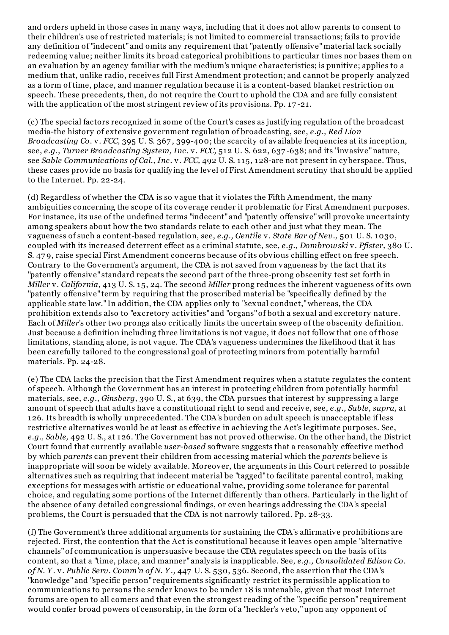and orders upheld in those cases in many ways, including that it does not allow parents to consent to their children's use of restricted materials; is not limited to commercial transactions; fails to provide any definition of "indecent" and omits any requirement that "patently offensive"material lack socially redeeming value; neither limits its broad categorical prohibitions to particular times nor bases them on an evaluation by an agency familiar with the medium's unique characteristics; is punitive; applies to a medium that, unlike radio, receives full First Amendment protection; and cannot be properly analy zed as a form of time, place, and manner regulation because it is a content-based blanket restriction on speech. These precedents, then, do not require the Court to uphold the CDA and are fully consistent with the application of the most stringent review of its provisions. Pp. 17-21.

(c) The special factors recognized in some of the Court's cases as justify ing regulation of the broadcast media-the history of extensive government regulation of broadcasting, see, *e.g., Red Lion Broadcasting Co.* v. *FCC,* 395 U. S. 367 , 399-400; the scarcity of available frequencies at its inception, see, *e.g., Turner Broadcasting System, Inc.* v. *FCC,* 512 U. S. 622, 637 -638; and its "invasive"nature, see *Sable Communications of Cal., Inc.* v. *FCC,* 492 U. S. 1 15, 128-are not present in cyberspace. Thus, these cases provide no basis for qualify ing the level of First Amendment scrutiny that should be applied to the Internet. Pp. 22-24.

(d) Regardless of whether the CDA is so vague that it violates the Fifth Amendment, the many ambiguities concerning the scope of its coverage render it problematic for First Amendment purposes. For instance, its use of the undefined terms "indecent" and "patently offensive"will provoke uncertainty among speakers about how the two standards relate to each other and just what they mean. The vagueness of such a content-based regulation, see, *e.g., Gentile* v. *State Bar of Nev.,* 501 U. S. 1030, coupled with its increased deterrent effect as a criminal statute, see, *e.g., Dombrowski* v. *Pfister,* 380 U. S. 47 9, raise special First Amendment concerns because of its obvious chilling effect on free speech. Contrary to the Government's argument, the CDA is not saved from vagueness by the fact that its "patently offensive" standard repeats the second part of the three-prong obscenity test set forth in *Miller* v. *California,* 413 U. S. 15, 24. The second *Miller* prong reduces the inherent vagueness of its own "patently offensive" term by requiring that the proscribed material be "specifically defined by the applicable state law." In addition, the CDA applies only to "sexual conduct,"whereas, the CDA prohibition extends also to "excretory activities" and "organs"of both a sexual and excretory nature. Each of *Miller*'s other two prongs also critically limits the uncertain sweep of the obscenity definition. Just because a definition including three limitations is not vague, it does not follow that one of those limitations, standing alone, is not vague. The CDA's vagueness undermines the likelihood that it has been carefully tailored to the congressional goal of protecting minors from potentially harmful materials. Pp. 24-28.

(e) The CDA lacks the precision that the First Amendment requires when a statute regulates the content of speech. Although the Government has an interest in protecting children from potentially harmful materials, see, *e.g., Ginsberg,* 390 U. S., at 639, the CDA pursues that interest by suppressing a large amount of speech that adults have a constitutional right to send and receive, see, *e.g., Sable, supra,* at 126. Its breadth is wholly unprecedented. The CDA's burden on adult speech is unacceptable if less restrictive alternatives would be at least as effective in achieving the Act's legitimate purposes. See, *e.g., Sable,* 492 U. S., at 126. The Government has not proved otherwise. On the other hand, the District Court found that currently available *user-based* software suggests that a reasonably effective method by which *parents* can prevent their children from accessing material which the *parents* believe is inappropriate will soon be widely available. Moreover, the arguments in this Court referred to possible alternatives such as requiring that indecent material be "tagged" to facilitate parental control, making exceptions for messages with artistic or educational value, providing some tolerance for parental choice, and regulating some portions of the Internet differently than others. Particularly in the light of the absence of any detailed congressional findings, or even hearings addressing the CDA's special problems, the Court is persuaded that the CDA is not narrowly tailored. Pp. 28-33.

(f) The Government's three additional arguments for sustaining the CDA's affirmative prohibitions are rejected. First, the contention that the Act is constitutional because it leaves open ample "alternative channels"of communication is unpersuasive because the CDA regulates speech on the basis of its content, so that a "time, place, and manner" analy sis is inapplicable. See, *e.g., Consolidated Edison Co. of N. Y .* v. *Public Serv. Comm'n of N. Y .,* 447 U. S. 530, 536. Second, the assertion that the CDA's "knowledge" and "specific person" requirements significantly restrict its permissible application to communications to persons the sender knows to be under 18 is untenable, given that most Internet forums are open to all comers and that even the strongest reading of the "specific person" requirement would confer broad powers of censorship, in the form of a "heckler's veto,"upon any opponent of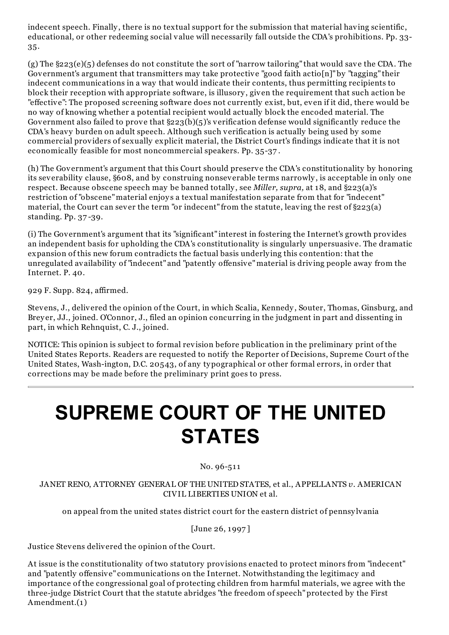indecent speech. Finally, there is no textual support for the submission that material having scientific, educational, or other redeeming social value will necessarily fall outside the CDA's prohibitions. Pp. 33- 35.

(g) The §223(e)(5) defenses do not constitute the sort of "narrow tailoring" that would save the CDA. The Government's argument that transmitters may take protective "good faith actio[n]"by "tagging" their indecent communications in a way that would indicate their contents, thus permitting recipients to block their reception with appropriate software, is illusory , given the requirement that such action be "effective": The proposed screening software does not currently exist, but, even if it did, there would be no way of knowing whether a potential recipient would actually block the encoded material. The Government also failed to prove that §223(b)(5)'s verification defense would significantly reduce the CDA's heavy burden on adult speech. Although such verification is actually being used by some commercial providers of sexually explicit material, the District Court's findings indicate that it is not economically feasible for most noncommercial speakers. Pp. 35-37 .

(h) The Government's argument that this Court should preserve the CDA's constitutionality by honoring its severability clause, §608, and by construing nonseverable terms narrowly , is acceptable in only one respect. Because obscene speech may be banned totally , see *Miller, supra,* at 18, and §223(a)'s restriction of "obscene" material enjoys a textual manifestation separate from that for "indecent" material, the Court can sever the term "or indecent" from the statute, leaving the rest of  $\S 223(a)$ standing. Pp. 37 -39.

(i) The Government's argument that its "significant" interest in fostering the Internet's growth provides an independent basis for upholding the CDA's constitutionality is singularly unpersuasive. The dramatic expansion of this new forum contradicts the factual basis underly ing this contention: that the unregulated availability of "indecent" and "patently offensive"material is driving people away from the Internet. P. 40.

929 F. Supp. 824, affirmed.

Stevens, J., delivered the opinion of the Court, in which Scalia, Kennedy , Souter, Thomas, Ginsburg, and Brey er, JJ., joined. O'Connor, J., filed an opinion concurring in the judgment in part and dissenting in part, in which Rehnquist, C. J., joined.

NOTICE: This opinion is subject to formal revision before publication in the preliminary print of the United States Reports. Readers are requested to notify the Reporter of Decisions, Supreme Court of the United States, Wash-ington, D.C. 20543, of any typographical or other formal errors, in order that corrections may be made before the preliminary print goes to press.

## SUPREME COURT OF THE UNITED **STATES**

No. 96-511

JANET RENO, ATTORNEY GENERAL OF THE UNITED STATES, et al., APPELLANTS *v.* AMERICAN CIVIL LIBERTIES UNION et al.

on appeal from the united states district court for the eastern district of pennsy lvania

[June 26, 1997 ]

Justice Stevens delivered the opinion of the Court.

At issue is the constitutionality of two statutory provisions enacted to protect minors from "indecent" and "patently offensive" communications on the Internet. Notwithstanding the legitimacy and importance of the congressional goal of protecting children from harmful materials, we agree with the three-judge District Court that the statute abridges "the freedom of speech"protected by the First Amendment.(1 )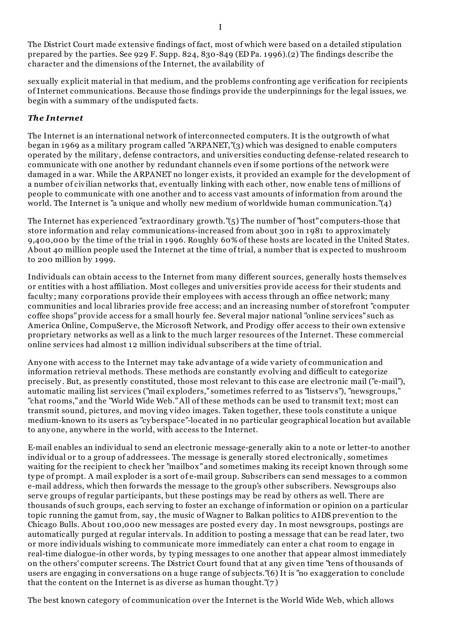The District Court made extensive findings of fact, most of which were based on a detailed stipulation prepared by the parties. See 929 F. Supp. 824, 830-849 (ED Pa. 1996).(2) The findings describe the character and the dimensions of the Internet, the availability of

sexually explicit material in that medium, and the problems confronting age verification for recipients of Internet communications. Because those findings provide the underpinnings for the legal issues, we begin with a summary of the undisputed facts.

#### *The Internet*

The Internet is an international network of interconnected computers. It is the outgrowth of what began in 1969 as a military program called "ARPANET,"(3) which was designed to enable computers operated by the military , defense contractors, and universities conducting defense-related research to communicate with one another by redundant channels even if some portions of the network were damaged in a war. While the ARPANET no longer exists, it provided an example for the development of a number of civilian networks that, eventually linking with each other, now enable tens of millions of people to communicate with one another and to access vast amounts of information from around the world. The Internet is "a unique and wholly new medium of worldwide human communication."(4)

The Internet has experienced "extraordinary growth."(5) The number of "host" computers-those that store information and relay communications-increased from about 300 in 1981 to approximately 9,400,000 by the time of the trial in 1996. Roughly 60% of these hosts are located in the United States. About 40 million people used the Internet at the time of trial, a number that is expected to mushroom to 200 million by 1999.

Individuals can obtain access to the Internet from many different sources, generally hosts themselves or entities with a host affiliation. Most colleges and universities provide access for their students and faculty; many corporations provide their employees with access through an office network; many communities and local libraries provide free access; and an increasing number of storefront "computer coffee shops"provide access for a small hourly fee. Several major national "online services" such as America Online, CompuServe, the Microsoft Network, and Prodigy offer access to their own extensive proprietary networks as well as a link to the much larger resources of the Internet. These commercial online services had almost 12 million individual subscribers at the time of trial.

Anyone with access to the Internet may take advantage of a wide variety of communication and information retrieval methods. These methods are constantly evolving and difficult to categorize precisely . But, as presently constituted, those most relevant to this case are electronic mail ("e-mail"), automatic mailing list services ("mail exploders," sometimes referred to as "listservs"), "newsgroups," "chat rooms," and the "World Wide Web."All of these methods can be used to transmit text; most can transmit sound, pictures, and moving video images. Taken together, these tools constitute a unique medium-known to its users as "cyberspace"-located in no particular geographical location but available to anyone, anywhere in the world, with access to the Internet.

E-mail enables an individual to send an electronic message-generally akin to a note or letter-to another individual or to a group of addressees. The message is generally stored electronically , sometimes waiting for the recipient to check her "mailbox" and sometimes making its receipt known through some type of prompt. A mail exploder is a sort of e-mail group. Subscribers can send messages to a common e-mail address, which then forwards the message to the group's other subscribers. Newsgroups also serve groups of regular participants, but these postings may be read by others as well. There are thousands of such groups, each serving to foster an exchange of information or opinion on a particular topic running the gamut from, say , the music of Wagner to Balkan politics to AIDS prevention to the Chicago Bulls. About 100,000 new messages are posted every day . In most newsgroups, postings are automatically purged at regular intervals. In addition to posting a message that can be read later, two or more individuals wishing to communicate more immediately can enter a chat room to engage in real-time dialogue-in other words, by typing messages to one another that appear almost immediately on the others' computer screens. The District Court found that at any given time "tens of thousands of users are engaging in conversations on a huge range of subjects."(6) It is "no exaggeration to conclude that the content on the Internet is as diverse as human thought."(7 )

The best known category of communication over the Internet is the World Wide Web, which allows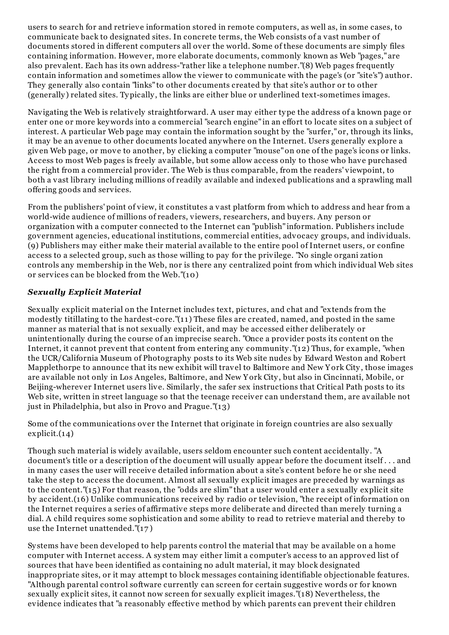users to search for and retrieve information stored in remote computers, as well as, in some cases, to communicate back to designated sites. In concrete terms, the Web consists of a vast number of documents stored in different computers all over the world. Some of these documents are simply files containing information. However, more elaborate documents, commonly known as Web "pages," are also prevalent. Each has its own address-"rather like a telephone number."(8) Web pages frequently contain information and sometimes allow the viewer to communicate with the page's (or "site's") author. They generally also contain "links" to other documents created by that site's author or to other (generally ) related sites. Typically , the links are either blue or underlined text-sometimes images.

Navigating the Web is relatively straightforward. A user may either type the address of a known page or enter one or more keywords into a commercial "search engine" in an effort to locate sites on a subject of interest. A particular Web page may contain the information sought by the "surfer,"or, through its links, it may be an avenue to other documents located anywhere on the Internet. Users generally explore a given Web page, or move to another, by clicking a computer "mouse"on one of the page's icons or links. Access to most Web pages is freely available, but some allow access only to those who have purchased the right from a commercial provider. The Web is thus comparable, from the readers' viewpoint, to both a vast library including millions of readily available and indexed publications and a sprawling mall offering goods and services.

From the publishers' point of view, it constitutes a vast platform from which to address and hear from a world-wide audience of millions of readers, viewers, researchers, and buy ers. Any person or organization with a computer connected to the Internet can "publish" information. Publishers include government agencies, educational institutions, commercial entities, advocacy groups, and individuals. (9) Publishers may either make their material available to the entire pool of Internet users, or confine access to a selected group, such as those willing to pay for the privilege. "No single organi zation controls any membership in the Web, nor is there any centralized point from which individual Web sites or services can be blocked from the Web."(10)

#### *Sexually Explicit Material*

Sexually explicit material on the Internet includes text, pictures, and chat and "extends from the modestly titillating to the hardest-core."(1 1 ) These files are created, named, and posted in the same manner as material that is not sexually explicit, and may be accessed either deliberately or unintentionally during the course of an imprecise search. "Once a provider posts its content on the Internet, it cannot prevent that content from entering any community ."(12) Thus, for example, "when the UCR/California Museum of Photography posts to its Web site nudes by Edward Weston and Robert Mapplethorpe to announce that its new exhibit will travel to Baltimore and New Y ork City , those images are available not only in Los Angeles, Baltimore, and New Y ork City , but also in Cincinnati, Mobile, or Beijing-wherever Internet users live. Similarly , the safer sex instructions that Critical Path posts to its Web site, written in street language so that the teenage receiver can understand them, are available not just in Philadelphia, but also in Provo and Prague."(13)

Some of the communications over the Internet that originate in foreign countries are also sexually explicit.(14)

Though such material is widely available, users seldom encounter such content accidentally . "A document's title or a description of the document will usually appear before the document itself . . . and in many cases the user will receive detailed information about a site's content before he or she need take the step to access the document. Almost all sexually explicit images are preceded by warnings as to the content."(15) For that reason, the "odds are slim" that a user would enter a sexually explicit site by accident.(16) Unlike communications received by radio or television, "the receipt of information on the Internet requires a series of affirmative steps more deliberate and directed than merely turning a dial. A child requires some sophistication and some ability to read to retrieve material and thereby to use the Internet unattended."(17 )

Sy stems have been developed to help parents control the material that may be available on a home computer with Internet access. A sy stem may either limit a computer's access to an approved list of sources that have been identified as containing no adult material, it may block designated inappropriate sites, or it may attempt to block messages containing identifiable objectionable features. "Although parental control software currently can screen for certain suggestive words or for known sexually explicit sites, it cannot now screen for sexually explicit images."(18) Nevertheless, the evidence indicates that "a reasonably effective method by which parents can prevent their children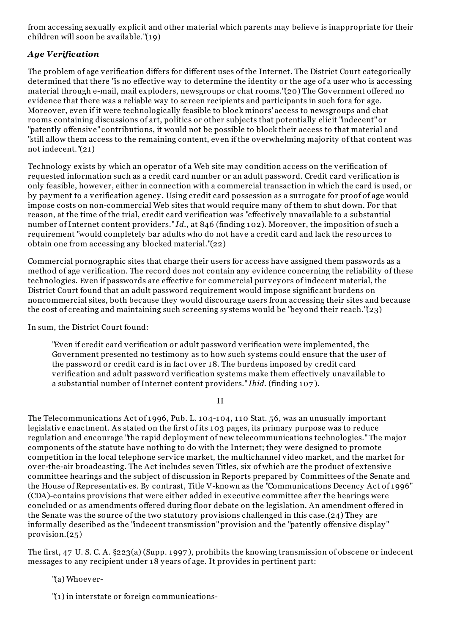from accessing sexually explicit and other material which parents may believe is inappropriate for their children will soon be available."(19)

#### *Age Verification*

The problem of age verification differs for different uses of the Internet. The District Court categorically determined that there "is no effective way to determine the identity or the age of a user who is accessing material through e-mail, mail exploders, newsgroups or chat rooms."(20) The Government offered no evidence that there was a reliable way to screen recipients and participants in such fora for age. Moreover, even if it were technologically feasible to block minors' access to newsgroups and chat rooms containing discussions of art, politics or other subjects that potentially elicit "indecent"or "patently offensive" contributions, it would not be possible to block their access to that material and "still allow them access to the remaining content, even if the overwhelming majority of that content was not indecent."(21 )

Technology exists by which an operator of a Web site may condition access on the verification of requested information such as a credit card number or an adult password. Credit card verification is only feasible, however, either in connection with a commercial transaction in which the card is used, or by payment to a verification agency . Using credit card possession as a surrogate for proof of age would impose costs on non-commercial Web sites that would require many of them to shut down. For that reason, at the time of the trial, credit card verification was "effectively unavailable to a substantial number of Internet content providers." *Id.,* at 846 (finding 102). Moreover, the imposition of such a requirement "would completely bar adults who do not have a credit card and lack the resources to obtain one from accessing any blocked material."(22)

Commercial pornographic sites that charge their users for access have assigned them passwords as a method of age verification. The record does not contain any evidence concerning the reliability of these technologies. Even if passwords are effective for commercial purveyors of indecent material, the District Court found that an adult password requirement would impose significant burdens on noncommercial sites, both because they would discourage users from accessing their sites and because the cost of creating and maintaining such screening sy stems would be "beyond their reach."(23)

In sum, the District Court found:

"Even if credit card verification or adult password verification were implemented, the Government presented no testimony as to how such sy stems could ensure that the user of the password or credit card is in fact over 18. The burdens imposed by credit card verification and adult password verification sy stems make them effectively unavailable to a substantial number of Internet content providers." *Ibid.* (finding 107 ).

II

The Telecommunications Act of 1996, Pub. L. 104-104, 1 10 Stat. 56, was an unusually important legislative enactment. As stated on the first of its 103 pages, its primary purpose was to reduce regulation and encourage "the rapid deployment of new telecommunications technologies."The major components of the statute have nothing to do with the Internet; they were designed to promote competition in the local telephone service market, the multichannel video market, and the market for over-the-air broadcasting. The Act includes seven Titles, six of which are the product of extensive committee hearings and the subject of discussion in Reports prepared by Committees of the Senate and the House of Representatives. By contrast, Title V-known as the "Communications Decency Act of 1996" (CDA)-contains provisions that were either added in executive committee after the hearings were concluded or as amendments offered during floor debate on the legislation. An amendment offered in the Senate was the source of the two statutory provisions challenged in this case.(24) They are informally described as the "indecent transmission"provision and the "patently offensive display " provision.(25)

The first, 47 U. S. C. A. §223(a) (Supp. 1997 ), prohibits the knowing transmission of obscene or indecent messages to any recipient under 18 y ears of age. It provides in pertinent part:

"(a) Whoever-

"(1 ) in interstate or foreign communications-